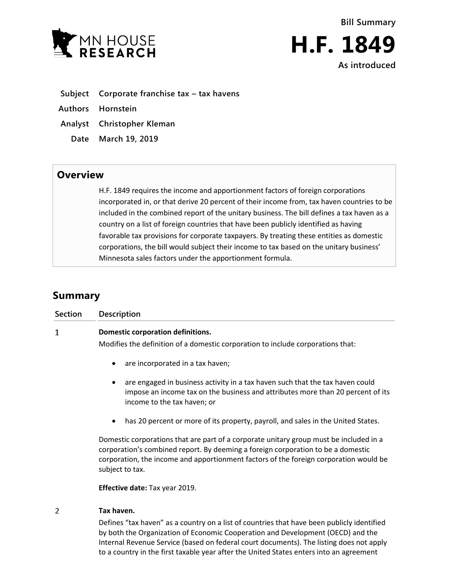



**Subject Corporate franchise tax – tax havens**

**Authors Hornstein**

**Analyst Christopher Kleman**

**Date March 19, 2019**

## **Overview**

H.F. 1849 requires the income and apportionment factors of foreign corporations incorporated in, or that derive 20 percent of their income from, tax haven countries to be included in the combined report of the unitary business. The bill defines a tax haven as a country on a list of foreign countries that have been publicly identified as having favorable tax provisions for corporate taxpayers. By treating these entities as domestic corporations, the bill would subject their income to tax based on the unitary business' Minnesota sales factors under the apportionment formula.

## **Summary**

| <b>Section</b> | <b>Description</b>                                                                                                                                                                                                                                                                     |
|----------------|----------------------------------------------------------------------------------------------------------------------------------------------------------------------------------------------------------------------------------------------------------------------------------------|
| 1              | <b>Domestic corporation definitions.</b>                                                                                                                                                                                                                                               |
|                | Modifies the definition of a domestic corporation to include corporations that:                                                                                                                                                                                                        |
|                | are incorporated in a tax haven;                                                                                                                                                                                                                                                       |
|                | are engaged in business activity in a tax haven such that the tax haven could<br>impose an income tax on the business and attributes more than 20 percent of its<br>income to the tax haven; or                                                                                        |
|                | has 20 percent or more of its property, payroll, and sales in the United States.                                                                                                                                                                                                       |
|                | Domestic corporations that are part of a corporate unitary group must be included in a<br>corporation's combined report. By deeming a foreign corporation to be a domestic<br>corporation, the income and apportionment factors of the foreign corporation would be<br>subject to tax. |
|                | Effective date: Tax year 2019.                                                                                                                                                                                                                                                         |
| 2              | Tax haven.                                                                                                                                                                                                                                                                             |
|                | Defines "tax haven" as a country on a list of countries that have been publicly identified                                                                                                                                                                                             |

by both the Organization of Economic Cooperation and Development (OECD) and the Internal Revenue Service (based on federal court documents). The listing does not apply to a country in the first taxable year after the United States enters into an agreement